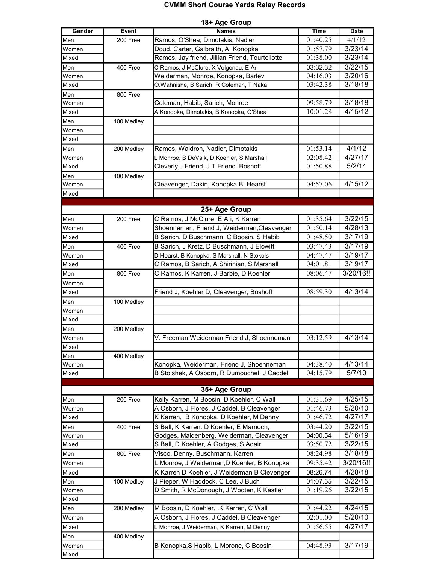## CVMM Short Course Yards Relay Records

| 18+ Age Group |              |                                                 |                      |                    |  |  |  |
|---------------|--------------|-------------------------------------------------|----------------------|--------------------|--|--|--|
| Gender        | <b>Event</b> | <b>Names</b>                                    | <b>Time</b>          | <b>Date</b>        |  |  |  |
| Men           | 200 Free     | Ramos, O'Shea, Dimotakis, Nadler                | 01:40.25             | 4/1/12             |  |  |  |
| Women         |              | Doud, Carter, Galbraith, A Konopka              | 01:57.79             | 3/23/14            |  |  |  |
| Mixed         |              | Ramos, Jay friend, Jillian Friend, Tourtellotte | 01:38.00             | 3/23/14            |  |  |  |
| Men           | 400 Free     | C Ramos, J McClure, X Volgenau, E Ari           | 03:32.32             | 3/22/15            |  |  |  |
| Women         |              | Weiderman, Monroe, Konopka, Barlev              | 04:16.03             | 3/20/16            |  |  |  |
| Mixed         |              | O.Wahnishe, B Sarich, R Coleman, T Naka         | 03:42.38             | 3/18/18            |  |  |  |
| Men           | 800 Free     |                                                 |                      |                    |  |  |  |
| Women         |              | Coleman, Habib, Sarich, Monroe                  | 09:58.79             | 3/18/18            |  |  |  |
| Mixed         |              | A Konopka, Dimotakis, B Konopka, O'Shea         | 10:01.28             | 4/15/12            |  |  |  |
| Men           | 100 Mediey   |                                                 |                      |                    |  |  |  |
| Women         |              |                                                 |                      |                    |  |  |  |
| Mixed         |              |                                                 |                      |                    |  |  |  |
| Men           | 200 Medley   | Ramos, Waldron, Nadler, Dimotakis               | 01:53.14             | 4/1/12             |  |  |  |
| Women         |              | L Monroe. B DeValk, D Koehler, S Marshall       | 02:08.42             | 4/27/17            |  |  |  |
| Mixed         |              | Cleverly, J Friend, J T Friend. Boshoff         | 01:50.88             | 5/2/14             |  |  |  |
| Men           | 400 Medley   |                                                 |                      |                    |  |  |  |
| Women         |              | Cleavenger, Dakin, Konopka B, Hearst            | 04:57.06             | 4/15/12            |  |  |  |
| Mixed         |              |                                                 |                      |                    |  |  |  |
|               |              |                                                 |                      |                    |  |  |  |
|               |              | 25+ Age Group                                   |                      |                    |  |  |  |
| Men           | 200 Free     | C Ramos, J McClure, E Ari, K Karren             | 01:35.64             | 3/22/15            |  |  |  |
| Women         |              | Shoenneman, Friend J, Weiderman, Cleavenger     | 01:50.14             | 4/28/13            |  |  |  |
| Mixed         |              | B Sarich, D Buschmann, C Boosin, S Habib        | 01:48.50             | 3/17/19            |  |  |  |
| Men           | 400 Free     | B Sarich, J Kretz, D Buschmann, J Elowitt       | 03:47.43             | 3/17/19            |  |  |  |
| Women         |              | D Hearst, B Konopka, S Marshall, N Stokols      | 04:47.47             | 3/19/17            |  |  |  |
| Mixed         |              | C Ramos, B Sarich, A Shirinian, S Marshall      | 04:01.81             | 3/19/17            |  |  |  |
| Men           | 800 Free     | C Ramos. K Karren, J Barbie, D Koehler          | 08:06.47             | 3/20/16!!          |  |  |  |
| Women         |              |                                                 |                      |                    |  |  |  |
| Mixed         |              | Friend J, Koehler D, Cleavenger, Boshoff        | 08:59.30             | 4/13/14            |  |  |  |
| Men           | 100 Medley   |                                                 |                      |                    |  |  |  |
| Women         |              |                                                 |                      |                    |  |  |  |
| Mixed         |              |                                                 |                      |                    |  |  |  |
| Men           | 200 Medley   |                                                 |                      |                    |  |  |  |
| Women         |              | V. Freeman, Weiderman, Friend J, Shoenneman     | 03:12.59             | 4/13/14            |  |  |  |
| Mixed         |              |                                                 |                      |                    |  |  |  |
| Men           | 400 Medley   |                                                 |                      |                    |  |  |  |
| Women         |              | Konopka, Weiderman, Friend J, Shoenneman        | 04:38.40             | 4/13/14            |  |  |  |
| Mixed         |              | B Stolshek, A Osborn, R Dumouchel, J Caddel     | 04:15.79             | 5/7/10             |  |  |  |
|               |              | 35+ Age Group                                   |                      |                    |  |  |  |
|               |              | Kelly Karren, M Boosin, D Koehler, C Wall       | 01:31.69             | 4/25/15            |  |  |  |
| Men           | 200 Free     | A Osborn, J Flores, J Caddel, B Cleavenger      |                      |                    |  |  |  |
| Women         |              |                                                 | 01:46.73<br>01:46.72 | 5/20/10<br>4/27/17 |  |  |  |
| Mixed         |              | K Karren, B Konopka, D Koehler, M Denny         |                      |                    |  |  |  |
| Men           | 400 Free     | S Ball, K Karren. D Koehler, E Marnoch,         | 03:44.20             | 3/22/15            |  |  |  |
| Women         |              | Godges, Maidenberg, Weiderman, Cleavenger       | 04:00.54             | 5/16/19            |  |  |  |
| Mixed         |              | S Ball, D Koehler, A Godges, S Adair            | 03:50.72             | 3/22/15            |  |  |  |
| Men           | 800 Free     | Visco, Denny, Buschmann, Karren                 | 08:24.98             | 3/18/18            |  |  |  |
| Women         |              | L Monroe, J Weiderman, D Koehler, B Konopka     | 09:35.42             | 3/20/16!!          |  |  |  |
| Mixed         |              | K Karren D Koehler, J Weiderman B Clevenger     | 08:26.74             | 4/28/18            |  |  |  |
| Men           | 100 Medley   | J Pieper, W Haddock, C Lee, J Buch              | 01:07.55             | 3/22/15            |  |  |  |
| Women         |              | D Smith, R McDonough, J Wooten, K Kastler       | 01:19.26             | 3/22/15            |  |  |  |
| Mixed         |              |                                                 |                      |                    |  |  |  |
| Men           | 200 Medley   | M Boosin, D Koehler, .K Karren, C Wall          | 01:44.22             | 4/24/15            |  |  |  |
| Women         |              | A Osborn, J Flores, J Caddel, B Cleavenger      | 02:01.00             | 5/20/10            |  |  |  |
| Mixed         |              | L Monroe, J Weiderman, K Karren, M Denny        | 01:56.55             | 4/27/17            |  |  |  |
| Men           | 400 Medley   |                                                 |                      |                    |  |  |  |
| Women         |              | B Konopka, S Habib, L Morone, C Boosin          | 04:48.93             | 3/17/19            |  |  |  |
| Mixed         |              |                                                 |                      |                    |  |  |  |